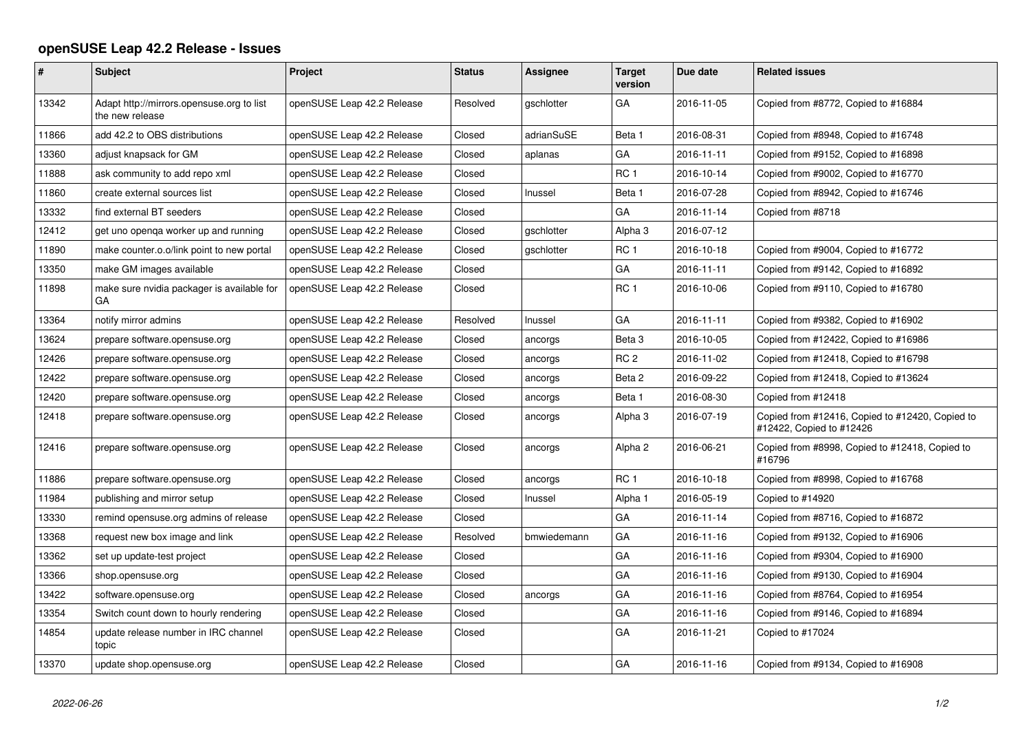## **openSUSE Leap 42.2 Release - Issues**

| $\vert$ # | <b>Subject</b>                                               | Project                    | <b>Status</b> | <b>Assignee</b>   | Target<br>version  | Due date   | <b>Related issues</b>                                                       |
|-----------|--------------------------------------------------------------|----------------------------|---------------|-------------------|--------------------|------------|-----------------------------------------------------------------------------|
| 13342     | Adapt http://mirrors.opensuse.org to list<br>the new release | openSUSE Leap 42.2 Release | Resolved      | gschlotter        | GA                 | 2016-11-05 | Copied from #8772, Copied to #16884                                         |
| 11866     | add 42.2 to OBS distributions                                | openSUSE Leap 42.2 Release | Closed        | adrianSuSE        | Beta 1             | 2016-08-31 | Copied from #8948, Copied to #16748                                         |
| 13360     | adjust knapsack for GM                                       | openSUSE Leap 42.2 Release | Closed        | aplanas           | GA                 | 2016-11-11 | Copied from #9152, Copied to #16898                                         |
| 11888     | ask community to add repo xml                                | openSUSE Leap 42.2 Release | Closed        |                   | RC <sub>1</sub>    | 2016-10-14 | Copied from #9002, Copied to #16770                                         |
| 11860     | create external sources list                                 | openSUSE Leap 42.2 Release | Closed        | Inussel           | Beta 1             | 2016-07-28 | Copied from #8942, Copied to #16746                                         |
| 13332     | find external BT seeders                                     | openSUSE Leap 42.2 Release | Closed        |                   | GA                 | 2016-11-14 | Copied from #8718                                                           |
| 12412     | get uno openga worker up and running                         | openSUSE Leap 42.2 Release | Closed        | <i>aschlotter</i> | Alpha 3            | 2016-07-12 |                                                                             |
| 11890     | make counter.o.o/link point to new portal                    | openSUSE Leap 42.2 Release | Closed        | gschlotter        | RC <sub>1</sub>    | 2016-10-18 | Copied from #9004, Copied to #16772                                         |
| 13350     | make GM images available                                     | openSUSE Leap 42.2 Release | Closed        |                   | GA                 | 2016-11-11 | Copied from #9142, Copied to #16892                                         |
| 11898     | make sure nvidia packager is available for<br>GА             | openSUSE Leap 42.2 Release | Closed        |                   | RC <sub>1</sub>    | 2016-10-06 | Copied from #9110, Copied to #16780                                         |
| 13364     | notify mirror admins                                         | openSUSE Leap 42.2 Release | Resolved      | Inussel           | GA                 | 2016-11-11 | Copied from #9382, Copied to #16902                                         |
| 13624     | prepare software.opensuse.org                                | openSUSE Leap 42.2 Release | Closed        | ancorgs           | Beta <sub>3</sub>  | 2016-10-05 | Copied from #12422, Copied to #16986                                        |
| 12426     | prepare software.opensuse.org                                | openSUSE Leap 42.2 Release | Closed        | ancorgs           | RC <sub>2</sub>    | 2016-11-02 | Copied from #12418, Copied to #16798                                        |
| 12422     | prepare software.opensuse.org                                | openSUSE Leap 42.2 Release | Closed        | ancorgs           | Beta 2             | 2016-09-22 | Copied from #12418, Copied to #13624                                        |
| 12420     | prepare software.opensuse.org                                | openSUSE Leap 42.2 Release | Closed        | ancorgs           | Beta 1             | 2016-08-30 | Copied from #12418                                                          |
| 12418     | prepare software.opensuse.org                                | openSUSE Leap 42.2 Release | Closed        | ancorgs           | Alpha 3            | 2016-07-19 | Copied from #12416, Copied to #12420, Copied to<br>#12422, Copied to #12426 |
| 12416     | prepare software.opensuse.org                                | openSUSE Leap 42.2 Release | Closed        | ancorgs           | Alpha <sub>2</sub> | 2016-06-21 | Copied from #8998, Copied to #12418, Copied to<br>#16796                    |
| 11886     | prepare software.opensuse.org                                | openSUSE Leap 42.2 Release | Closed        | ancorgs           | RC <sub>1</sub>    | 2016-10-18 | Copied from #8998, Copied to #16768                                         |
| 11984     | publishing and mirror setup                                  | openSUSE Leap 42.2 Release | Closed        | Inussel           | Alpha 1            | 2016-05-19 | Copied to #14920                                                            |
| 13330     | remind opensuse.org admins of release                        | openSUSE Leap 42.2 Release | Closed        |                   | GA                 | 2016-11-14 | Copied from #8716, Copied to #16872                                         |
| 13368     | request new box image and link                               | openSUSE Leap 42.2 Release | Resolved      | bmwiedemann       | GA                 | 2016-11-16 | Copied from #9132, Copied to #16906                                         |
| 13362     | set up update-test project                                   | openSUSE Leap 42.2 Release | Closed        |                   | GA                 | 2016-11-16 | Copied from #9304, Copied to #16900                                         |
| 13366     | shop.opensuse.org                                            | openSUSE Leap 42.2 Release | Closed        |                   | GA                 | 2016-11-16 | Copied from #9130, Copied to #16904                                         |
| 13422     | software.opensuse.org                                        | openSUSE Leap 42.2 Release | Closed        | ancorgs           | GA                 | 2016-11-16 | Copied from #8764, Copied to #16954                                         |
| 13354     | Switch count down to hourly rendering                        | openSUSE Leap 42.2 Release | Closed        |                   | GA                 | 2016-11-16 | Copied from #9146, Copied to #16894                                         |
| 14854     | update release number in IRC channel<br>topic                | openSUSE Leap 42.2 Release | Closed        |                   | GA                 | 2016-11-21 | Copied to #17024                                                            |
| 13370     | update shop.opensuse.org                                     | openSUSE Leap 42.2 Release | Closed        |                   | GA                 | 2016-11-16 | Copied from #9134, Copied to #16908                                         |